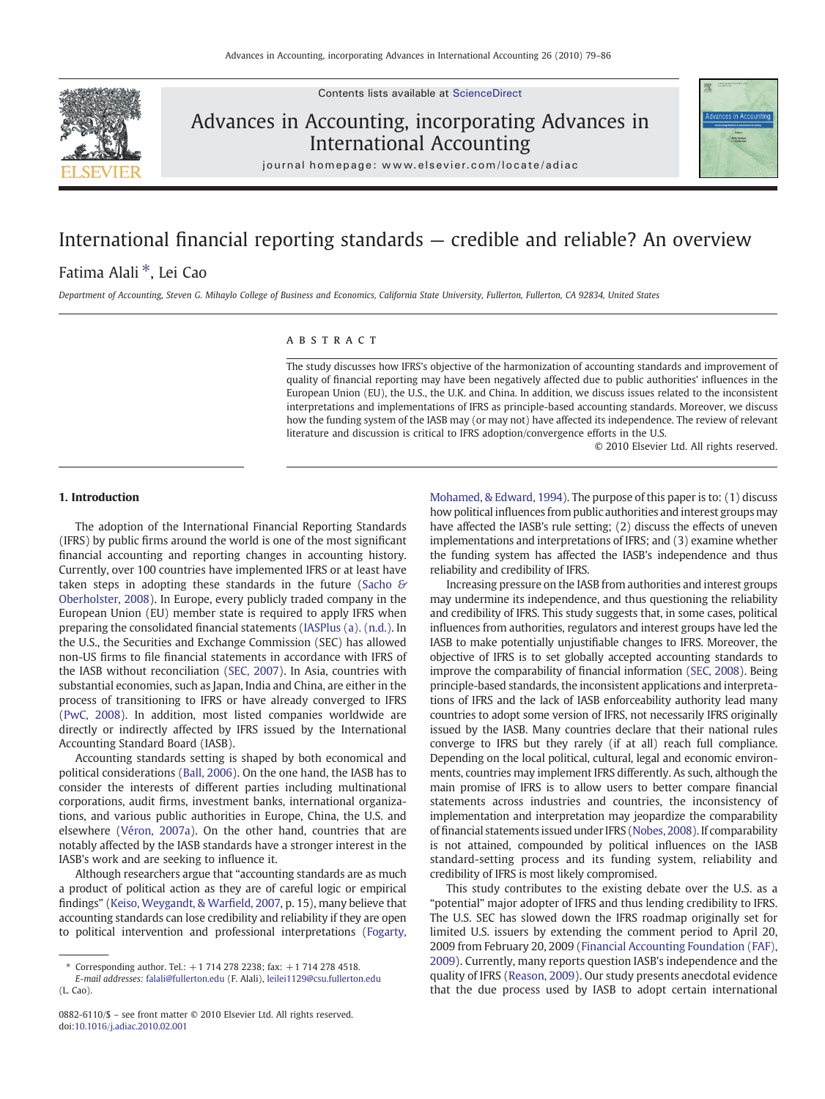

Contents lists available at [ScienceDirect](http://www.sciencedirect.com/science/journal/08826110)

## Advances in Accounting, incorporating Advances in International Accounting



journal homepage: www.elsevier.com/locate/adiac

## International financial reporting standards — credible and reliable? An overview

### Fatima Alali ⁎, Lei Cao

Department of Accounting, Steven G. Mihaylo College of Business and Economics, California State University, Fullerton, Fullerton, CA 92834, United States

#### ABSTRACT

The study discusses how IFRS's objective of the harmonization of accounting standards and improvement of quality of financial reporting may have been negatively affected due to public authorities' influences in the European Union (EU), the U.S., the U.K. and China. In addition, we discuss issues related to the inconsistent interpretations and implementations of IFRS as principle-based accounting standards. Moreover, we discuss how the funding system of the IASB may (or may not) have affected its independence. The review of relevant literature and discussion is critical to IFRS adoption/convergence efforts in the U.S.

© 2010 Elsevier Ltd. All rights reserved.

#### 1. Introduction

The adoption of the International Financial Reporting Standards (IFRS) by public firms around the world is one of the most significant financial accounting and reporting changes in accounting history. Currently, over 100 countries have implemented IFRS or at least have taken steps in adopting these standards in the future ([Sacho](#page--1-0)  $\mathcal G$ [Oberholster, 2008\)](#page--1-0). In Europe, every publicly traded company in the European Union (EU) member state is required to apply IFRS when preparing the consolidated financial statements [\(IASPlus \(a\). \(n.d.\).](#page--1-0) In the U.S., the Securities and Exchange Commission (SEC) has allowed non-US firms to file financial statements in accordance with IFRS of the IASB without reconciliation [\(SEC, 2007](#page--1-0)). In Asia, countries with substantial economies, such as Japan, India and China, are either in the process of transitioning to IFRS or have already converged to IFRS [\(PwC, 2008\)](#page--1-0). In addition, most listed companies worldwide are directly or indirectly affected by IFRS issued by the International Accounting Standard Board (IASB).

Accounting standards setting is shaped by both economical and political considerations [\(Ball, 2006\)](#page--1-0). On the one hand, the IASB has to consider the interests of different parties including multinational corporations, audit firms, investment banks, international organizations, and various public authorities in Europe, China, the U.S. and elsewhere [\(Véron, 2007a](#page--1-0)). On the other hand, countries that are notably affected by the IASB standards have a stronger interest in the IASB's work and are seeking to influence it.

Although researchers argue that "accounting standards are as much a product of political action as they are of careful logic or empirical findings" ([Keiso, Weygandt, & War](#page--1-0)field, 2007, p. 15), many believe that accounting standards can lose credibility and reliability if they are open to political intervention and professional interpretations [\(Fogarty,](#page--1-0) [Mohamed, & Edward, 1994](#page--1-0)). The purpose of this paper is to: (1) discuss how political influences from public authorities and interest groups may have affected the IASB's rule setting; (2) discuss the effects of uneven implementations and interpretations of IFRS; and (3) examine whether the funding system has affected the IASB's independence and thus reliability and credibility of IFRS.

Increasing pressure on the IASB from authorities and interest groups may undermine its independence, and thus questioning the reliability and credibility of IFRS. This study suggests that, in some cases, political influences from authorities, regulators and interest groups have led the IASB to make potentially unjustifiable changes to IFRS. Moreover, the objective of IFRS is to set globally accepted accounting standards to improve the comparability of financial information ([SEC, 2008\)](#page--1-0). Being principle-based standards, the inconsistent applications and interpretations of IFRS and the lack of IASB enforceability authority lead many countries to adopt some version of IFRS, not necessarily IFRS originally issued by the IASB. Many countries declare that their national rules converge to IFRS but they rarely (if at all) reach full compliance. Depending on the local political, cultural, legal and economic environments, countries may implement IFRS differently. As such, although the main promise of IFRS is to allow users to better compare financial statements across industries and countries, the inconsistency of implementation and interpretation may jeopardize the comparability of financial statements issued under IFRS ([Nobes, 2008\)](#page--1-0). If comparability is not attained, compounded by political influences on the IASB standard-setting process and its funding system, reliability and credibility of IFRS is most likely compromised.

This study contributes to the existing debate over the U.S. as a "potential" major adopter of IFRS and thus lending credibility to IFRS. The U.S. SEC has slowed down the IFRS roadmap originally set for limited U.S. issuers by extending the comment period to April 20, 2009 from February 20, 2009 ([Financial Accounting Foundation \(FAF\),](#page--1-0) [2009\)](#page--1-0). Currently, many reports question IASB's independence and the quality of IFRS [\(Reason, 2009\)](#page--1-0). Our study presents anecdotal evidence that the due process used by IASB to adopt certain international

<sup>⁎</sup> Corresponding author. Tel.: +1 714 278 2238; fax: +1 714 278 4518.

E-mail addresses: [falali@fullerton.edu](mailto:falali@fullerton.edu) (F. Alali), [leilei1129@csu.fullerton.edu](mailto:leilei1129@csu.fullerton.edu) (L. Cao).

<sup>0882-6110/\$</sup> – see front matter © 2010 Elsevier Ltd. All rights reserved. doi:[10.1016/j.adiac.2010.02.001](http://dx.doi.org/10.1016/j.adiac.2010.02.001)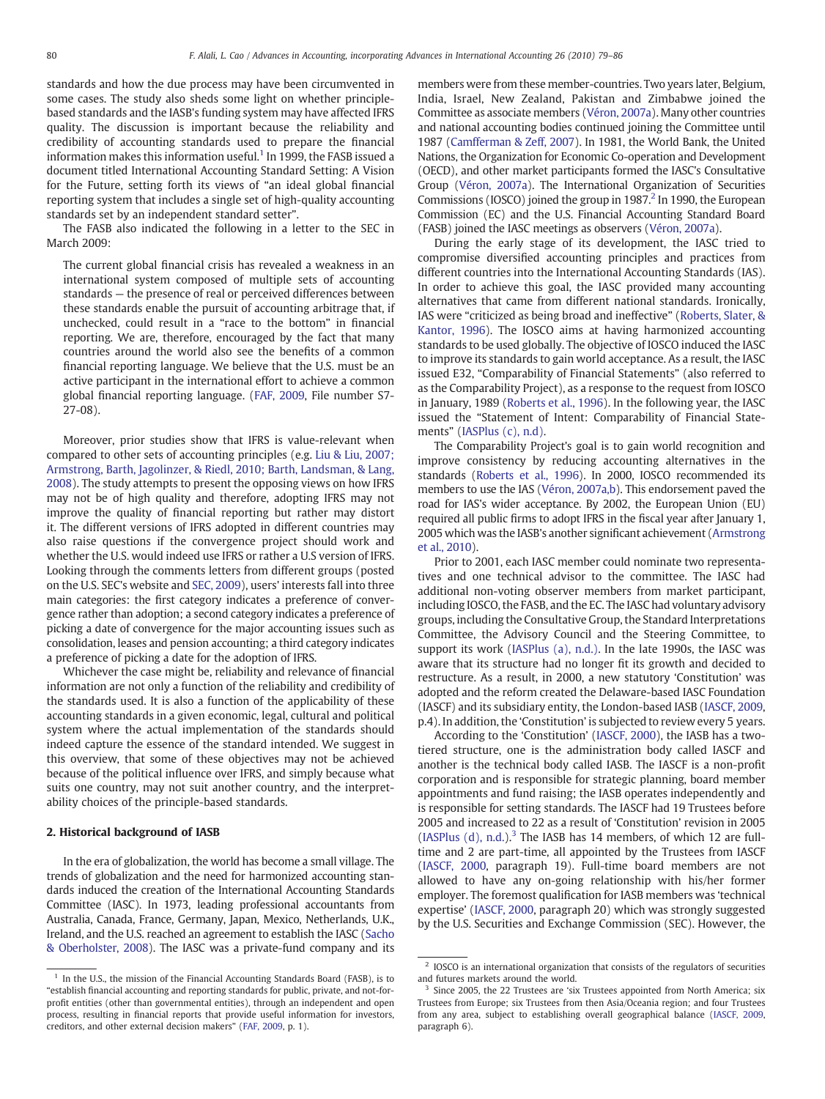standards and how the due process may have been circumvented in some cases. The study also sheds some light on whether principlebased standards and the IASB's funding system may have affected IFRS quality. The discussion is important because the reliability and credibility of accounting standards used to prepare the financial information makes this information useful.<sup>1</sup> In 1999, the FASB issued a document titled International Accounting Standard Setting: A Vision for the Future, setting forth its views of "an ideal global financial reporting system that includes a single set of high-quality accounting standards set by an independent standard setter".

The FASB also indicated the following in a letter to the SEC in March 2009:

The current global financial crisis has revealed a weakness in an international system composed of multiple sets of accounting standards — the presence of real or perceived differences between these standards enable the pursuit of accounting arbitrage that, if unchecked, could result in a "race to the bottom" in financial reporting. We are, therefore, encouraged by the fact that many countries around the world also see the benefits of a common financial reporting language. We believe that the U.S. must be an active participant in the international effort to achieve a common global financial reporting language. ([FAF, 2009,](#page--1-0) File number S7- 27-08).

Moreover, prior studies show that IFRS is value-relevant when compared to other sets of accounting principles (e.g. [Liu & Liu, 2007;](#page--1-0) [Armstrong, Barth, Jagolinzer, & Riedl, 2010; Barth, Landsman, & Lang,](#page--1-0) [2008\)](#page--1-0). The study attempts to present the opposing views on how IFRS may not be of high quality and therefore, adopting IFRS may not improve the quality of financial reporting but rather may distort it. The different versions of IFRS adopted in different countries may also raise questions if the convergence project should work and whether the U.S. would indeed use IFRS or rather a U.S version of IFRS. Looking through the comments letters from different groups (posted on the U.S. SEC's website and [SEC, 2009\)](#page--1-0), users' interests fall into three main categories: the first category indicates a preference of convergence rather than adoption; a second category indicates a preference of picking a date of convergence for the major accounting issues such as consolidation, leases and pension accounting; a third category indicates a preference of picking a date for the adoption of IFRS.

Whichever the case might be, reliability and relevance of financial information are not only a function of the reliability and credibility of the standards used. It is also a function of the applicability of these accounting standards in a given economic, legal, cultural and political system where the actual implementation of the standards should indeed capture the essence of the standard intended. We suggest in this overview, that some of these objectives may not be achieved because of the political influence over IFRS, and simply because what suits one country, may not suit another country, and the interpretability choices of the principle-based standards.

#### 2. Historical background of IASB

In the era of globalization, the world has become a small village. The trends of globalization and the need for harmonized accounting standards induced the creation of the International Accounting Standards Committee (IASC). In 1973, leading professional accountants from Australia, Canada, France, Germany, Japan, Mexico, Netherlands, U.K., Ireland, and the U.S. reached an agreement to establish the IASC [\(Sacho](#page--1-0) [& Oberholster, 2008](#page--1-0)). The IASC was a private-fund company and its

members were from these member-countries. Two years later, Belgium, India, Israel, New Zealand, Pakistan and Zimbabwe joined the Committee as associate members ([Véron, 2007a](#page--1-0)). Many other countries and national accounting bodies continued joining the Committee until 1987 [\(Camfferman & Zeff, 2007\)](#page--1-0). In 1981, the World Bank, the United Nations, the Organization for Economic Co-operation and Development (OECD), and other market participants formed the IASC's Consultative Group ([Véron, 2007a\)](#page--1-0). The International Organization of Securities Commissions (IOSCO) joined the group in 1987.<sup>2</sup> In 1990, the European Commission (EC) and the U.S. Financial Accounting Standard Board (FASB) joined the IASC meetings as observers [\(Véron, 2007a](#page--1-0)).

During the early stage of its development, the IASC tried to compromise diversified accounting principles and practices from different countries into the International Accounting Standards (IAS). In order to achieve this goal, the IASC provided many accounting alternatives that came from different national standards. Ironically, IAS were "criticized as being broad and ineffective" [\(Roberts, Slater, &](#page--1-0) [Kantor, 1996](#page--1-0)). The IOSCO aims at having harmonized accounting standards to be used globally. The objective of IOSCO induced the IASC to improve its standards to gain world acceptance. As a result, the IASC issued E32, "Comparability of Financial Statements" (also referred to as the Comparability Project), as a response to the request from IOSCO in January, 1989 [\(Roberts et al., 1996\)](#page--1-0). In the following year, the IASC issued the "Statement of Intent: Comparability of Financial Statements" ([IASPlus \(c\), n.d\).](#page--1-0)

The Comparability Project's goal is to gain world recognition and improve consistency by reducing accounting alternatives in the standards [\(Roberts et al., 1996\)](#page--1-0). In 2000, IOSCO recommended its members to use the IAS [\(Véron, 2007a,b\)](#page--1-0). This endorsement paved the road for IAS's wider acceptance. By 2002, the European Union (EU) required all public firms to adopt IFRS in the fiscal year after January 1, 2005 which was the IASB's another significant achievement ([Armstrong](#page--1-0) [et al., 2010](#page--1-0)).

Prior to 2001, each IASC member could nominate two representatives and one technical advisor to the committee. The IASC had additional non-voting observer members from market participant, including IOSCO, the FASB, and the EC. The IASC had voluntary advisory groups, including the Consultative Group, the Standard Interpretations Committee, the Advisory Council and the Steering Committee, to support its work ([IASPlus \(a\), n.d.\).](#page--1-0) In the late 1990s, the IASC was aware that its structure had no longer fit its growth and decided to restructure. As a result, in 2000, a new statutory 'Constitution' was adopted and the reform created the Delaware-based IASC Foundation (IASCF) and its subsidiary entity, the London-based IASB ([IASCF, 2009,](#page--1-0) p.4). In addition, the 'Constitution' is subjected to review every 5 years.

According to the 'Constitution' ([IASCF, 2000\)](#page--1-0), the IASB has a twotiered structure, one is the administration body called IASCF and another is the technical body called IASB. The IASCF is a non-profit corporation and is responsible for strategic planning, board member appointments and fund raising; the IASB operates independently and is responsible for setting standards. The IASCF had 19 Trustees before 2005 and increased to 22 as a result of 'Constitution' revision in 2005 [\(IASPlus \(d\), n.d.](#page--1-0)).<sup>3</sup> The IASB has 14 members, of which 12 are fulltime and 2 are part-time, all appointed by the Trustees from IASCF [\(IASCF, 2000](#page--1-0), paragraph 19). Full-time board members are not allowed to have any on-going relationship with his/her former employer. The foremost qualification for IASB members was 'technical expertise' ([IASCF, 2000](#page--1-0), paragraph 20) which was strongly suggested by the U.S. Securities and Exchange Commission (SEC). However, the

 $1$  In the U.S., the mission of the Financial Accounting Standards Board (FASB), is to "establish financial accounting and reporting standards for public, private, and not-forprofit entities (other than governmental entities), through an independent and open process, resulting in financial reports that provide useful information for investors, creditors, and other external decision makers" [\(FAF, 2009](#page--1-0), p. 1).

 $^{\rm 2}$  IOSCO is an international organization that consists of the regulators of securities and futures markets around the world.

Since 2005, the 22 Trustees are 'six Trustees appointed from North America; six Trustees from Europe; six Trustees from then Asia/Oceania region; and four Trustees from any area, subject to establishing overall geographical balance [\(IASCF, 2009](#page--1-0), paragraph 6).